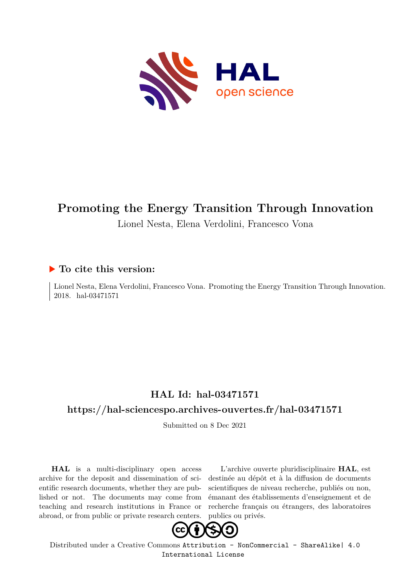

## **Promoting the Energy Transition Through Innovation**

Lionel Nesta, Elena Verdolini, Francesco Vona

### **To cite this version:**

Lionel Nesta, Elena Verdolini, Francesco Vona. Promoting the Energy Transition Through Innovation. 2018. hal-03471571

## **HAL Id: hal-03471571**

### **<https://hal-sciencespo.archives-ouvertes.fr/hal-03471571>**

Submitted on 8 Dec 2021

**HAL** is a multi-disciplinary open access archive for the deposit and dissemination of scientific research documents, whether they are published or not. The documents may come from teaching and research institutions in France or abroad, or from public or private research centers.

L'archive ouverte pluridisciplinaire **HAL**, est destinée au dépôt et à la diffusion de documents scientifiques de niveau recherche, publiés ou non, émanant des établissements d'enseignement et de recherche français ou étrangers, des laboratoires publics ou privés.



Distributed under a Creative Commons [Attribution - NonCommercial - ShareAlike| 4.0](http://creativecommons.org/licenses/by-nc-sa/4.0/) [International License](http://creativecommons.org/licenses/by-nc-sa/4.0/)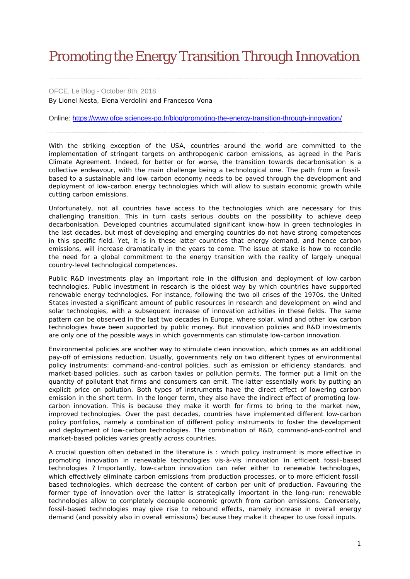# Promoting the Energy Transition Through Innovation

OFCE, Le Blog - October 8th, 2018 By Lionel Nesta, Elena Verdolini and Francesco Vona

Online: <https://www.ofce.sciences-po.fr/blog/promoting-the-energy-transition-through-innovation/>

With the striking exception of the USA, countries around the world are committed to the implementation of stringent targets on anthropogenic carbon emissions, as agreed in the Paris Climate Agreement. Indeed, for better or for worse, the transition towards decarbonisation is a collective endeavour, with the main challenge being a technological one. The path from a fossilbased to a sustainable and low-carbon economy needs to be paved through the development and deployment of low-carbon energy technologies which will allow to sustain economic growth while cutting carbon emissions.

Unfortunately, not all countries have access to the technologies which are necessary for this challenging transition. This in turn casts serious doubts on the possibility to achieve deep decarbonisation. Developed countries accumulated significant know-how in green technologies in the last decades, but most of developing and emerging countries do not have strong competences in this specific field. Yet, it is in these latter countries that energy demand, and hence carbon emissions, will increase dramatically in the years to come. The issue at stake is how to reconcile the need for a global commitment to the energy transition with the reality of largely unequal country-level technological competences.

Public R&D investments play an important role in the diffusion and deployment of low-carbon technologies. Public investment in research is the oldest way by which countries have supported renewable energy technologies. For instance, following the two oil crises of the 1970s, the United States invested a significant amount of public resources in research and development on wind and solar technologies, with a subsequent increase of innovation activities in these fields. The same pattern can be observed in the last two decades in Europe, where solar, wind and other low carbon technologies have been supported by public money. But innovation policies and R&D investments are only one of the possible ways in which governments can stimulate low-carbon innovation.

Environmental policies are another way to stimulate clean innovation, which comes as an additional pay-off of emissions reduction. Usually, governments rely on two different types of environmental policy instruments: command-and-control policies, such as emission or efficiency standards, and market-based policies, such as carbon taxies or pollution permits. The former put a limit on the quantity of pollutant that firms and consumers can emit. The latter essentially work by putting an explicit price on pollution. Both types of instruments have the direct effect of lowering carbon emission in the short term. In the longer term, they also have the indirect effect of promoting lowcarbon innovation. This is because they make it worth for firms to bring to the market new, improved technologies. Over the past decades, countries have implemented different low-carbon policy portfolios, namely a combination of different policy instruments to foster the development and deployment of low-carbon technologies. The combination of R&D, command-and-control and market-based policies varies greatly across countries.

A crucial question often debated in the literature is : which policy instrument is more effective in promoting innovation in renewable technologies vis-à-vis innovation in efficient fossil-based technologies ? Importantly, low-carbon innovation can refer either to renewable technologies, which effectively eliminate carbon emissions from production processes, or to more efficient fossilbased technologies, which decrease the content of carbon per unit of production. Favouring the former type of innovation over the latter is strategically important in the long-run: renewable technologies allow to completely decouple economic growth from carbon emissions. Conversely, fossil-based technologies may give rise to rebound effects, namely increase in overall energy demand (and possibly also in overall emissions) because they make it cheaper to use fossil inputs.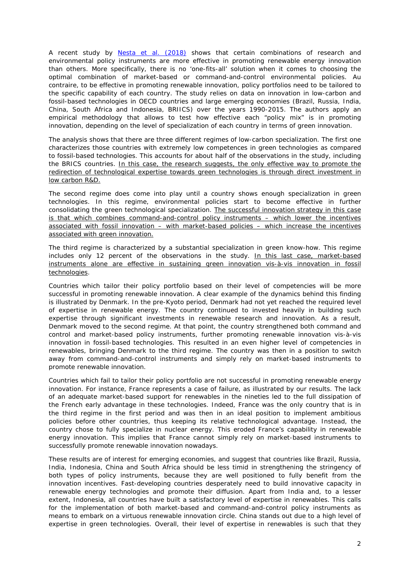A recent study by Nesta *et al*[. \(2018\)](https://www.ofce.sciences-po.fr/pdf/dtravail/WP2018-05.pdf) shows that certain combinations of research and environmental policy instruments are more effective in promoting renewable energy innovation than others. More specifically, there is no 'one-fits-all' solution when it comes to choosing the optimal combination of market-based or command-and-control environmental policies. *Au contraire*, to be effective in promoting renewable innovation, policy portfolios need to be tailored to the specific capability of each country. The study relies on data on innovation in low-carbon and fossil-based technologies in OECD countries and large emerging economies (Brazil, Russia, India, China, South Africa and Indonesia, BRIICS) over the years 1990-2015. The authors apply an empirical methodology that allows to test how effective each "policy mix" is in promoting innovation, depending on the level of specialization of each country in terms of green innovation.

The analysis shows that there are three different regimes of low-carbon specialization. The first one characterizes those countries with extremely low competences in green technologies as compared to fossil-based technologies. This accounts for about half of the observations in the study, including the BRICS countries. In this case, the research suggests, the only effective way to promote the redirection of technological expertise towards green technologies is through direct investment in low carbon R&D.

The second regime does come into play until a country shows enough specialization in green technologies. In this regime, environmental policies start to become effective in further consolidating the green technological specialization. The successful innovation strategy in this case is that which combines command-and-control policy instruments – which lower the incentives associated with fossil innovation – with market-based policies – which increase the incentives associated with green innovation.

The third regime is characterized by a substantial specialization in green know-how. This regime includes only 12 percent of the observations in the study. In this last case, market-based instruments alone are effective in sustaining green innovation vis-à-vis innovation in fossil technologies.

Countries which tailor their policy portfolio based on their level of competencies will be more successful in promoting renewable innovation. A clear example of the dynamics behind this finding is illustrated by Denmark. In the pre-Kyoto period, Denmark had not yet reached the required level of expertise in renewable energy. The country continued to invested heavily in building such expertise through significant investments in renewable research and innovation. As a result, Denmark moved to the second regime. At that point, the country strengthened both command and control and market-based policy instruments, further promoting renewable innovation vis-à-vis innovation in fossil-based technologies. This resulted in an even higher level of competencies in renewables, bringing Denmark to the third regime. The country was then in a position to switch away from command-and-control instruments and simply rely on market-based instruments to promote renewable innovation.

Countries which fail to tailor their policy portfolio are not successful in promoting renewable energy innovation. For instance, France represents a case of failure, as illustrated by our results. The lack of an adequate market-based support for renewables in the nineties led to the full dissipation of the French early advantage in these technologies. Indeed, France was the only country that is in the third regime in the first period and was then in an ideal position to implement ambitious policies before other countries, thus keeping its relative technological advantage. Instead, the country chose to fully specialize in nuclear energy. This eroded France's capability in renewable energy innovation. This implies that France cannot simply rely on market-based instruments to successfully promote renewable innovation nowadays.

These results are of interest for emerging economies, and suggest that countries like Brazil, Russia, India, Indonesia, China and South Africa should be less timid in strengthening the stringency of both types of policy instruments, because they are well positioned to fully benefit from the innovation incentives. Fast-developing countries desperately need to build innovative capacity in renewable energy technologies and promote their diffusion. Apart from India and, to a lesser extent, Indonesia, all countries have built a satisfactory level of expertise in renewables. This calls for the implementation of both market-based and command-and-control policy instruments as means to embark on a virtuous renewable innovation circle. China stands out due to a high level of expertise in green technologies. Overall, their level of expertise in renewables is such that they